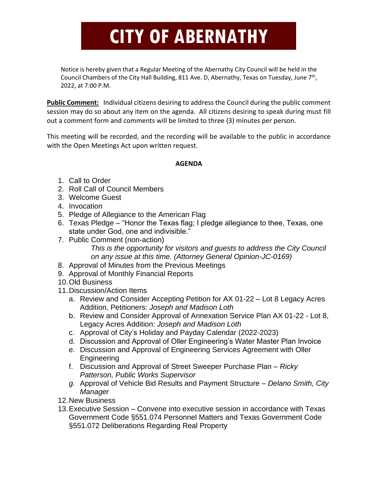## **CITY OF ABERNATHY**

Notice is hereby given that a Regular Meeting of the Abernathy City Council will be held in the Council Chambers of the City Hall Building, 811 Ave. D, Abernathy, Texas on Tuesday, June 7<sup>th</sup>, 2022, at 7:00 P.M.

**Public Comment:** Individual citizens desiring to address the Council during the public comment session may do so about any item on the agenda. All citizens desiring to speak during must fill out a comment form and comments will be limited to three (3) minutes per person.

This meeting will be recorded, and the recording will be available to the public in accordance with the Open Meetings Act upon written request.

## **AGENDA**

- 1. Call to Order
- 2. Roll Call of Council Members
- 3. Welcome Guest
- 4. Invocation
- 5. Pledge of Allegiance to the American Flag
- 6. Texas Pledge "Honor the Texas flag; I pledge allegiance to thee, Texas, one state under God, one and indivisible."
- 7. Public Comment (non-action) *This is the opportunity for visitors and guests to address the City Council on any issue at this time. (Attorney General Opinion-JC-0169)*
- 8. Approval of Minutes from the Previous Meetings
- 9. Approval of Monthly Financial Reports
- 10.Old Business
- 11.Discussion/Action Items
	- a. Review and Consider Accepting Petition for AX 01-22 Lot 8 Legacy Acres Addition, Petitioners: *Joseph and Madison Loth*
	- b. Review and Consider Approval of Annexation Service Plan AX 01-22 Lot 8, Legacy Acres Addition: *Joseph and Madison Loth*
	- c. Approval of City's Holiday and Payday Calendar (2022-2023)
	- d. Discussion and Approval of Oller Engineering's Water Master Plan Invoice
	- e. Discussion and Approval of Engineering Services Agreement with Oller Engineering
	- f. Discussion and Approval of Street Sweeper Purchase Plan *Ricky Patterson, Public Works Supervisor*
	- *g.* Approval of Vehicle Bid Results and Payment Structure *Delano Smith, City Manager*
- 12.New Business
- 13.Executive Session Convene into executive session in accordance with Texas Government Code §551.074 Personnel Matters and Texas Government Code §551.072 Deliberations Regarding Real Property